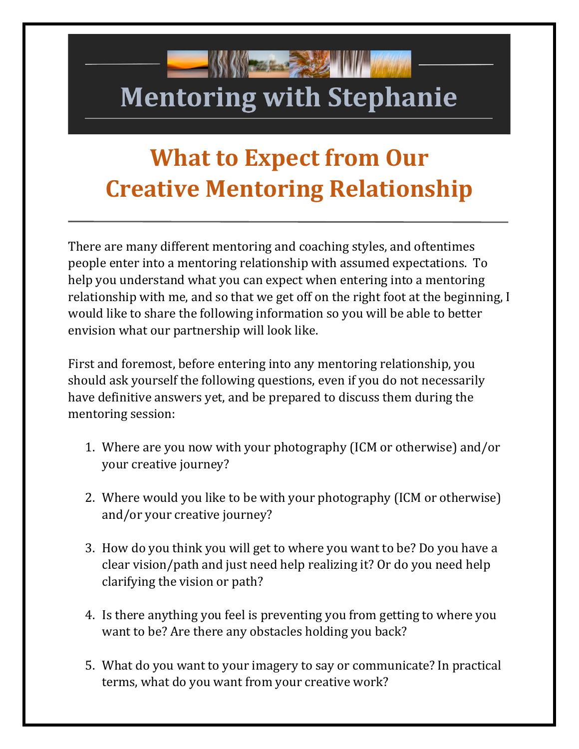# **Mentoring with Stephanie**

**SPORT OF STRAIGHT** 

# **What to Expect from Our Creative Mentoring Relationship**

There are many different mentoring and coaching styles, and oftentimes people enter into a mentoring relationship with assumed expectations. To help you understand what you can expect when entering into a mentoring relationship with me, and so that we get off on the right foot at the beginning, I would like to share the following information so you will be able to better envision what our partnership will look like.

First and foremost, before entering into any mentoring relationship, you should ask yourself the following questions, even if you do not necessarily have definitive answers yet, and be prepared to discuss them during the mentoring session:

- 1. Where are you now with your photography (ICM or otherwise) and/or your creative journey?
- 2. Where would you like to be with your photography (ICM or otherwise) and/or your creative journey?
- 3. How do you think you will get to where you want to be? Do you have a clear vision/path and just need help realizing it? Or do you need help clarifying the vision or path?
- 4. Is there anything you feel is preventing you from getting to where you want to be? Are there any obstacles holding you back?
- 5. What do you want to your imagery to say or communicate? In practical terms, what do you want from your creative work?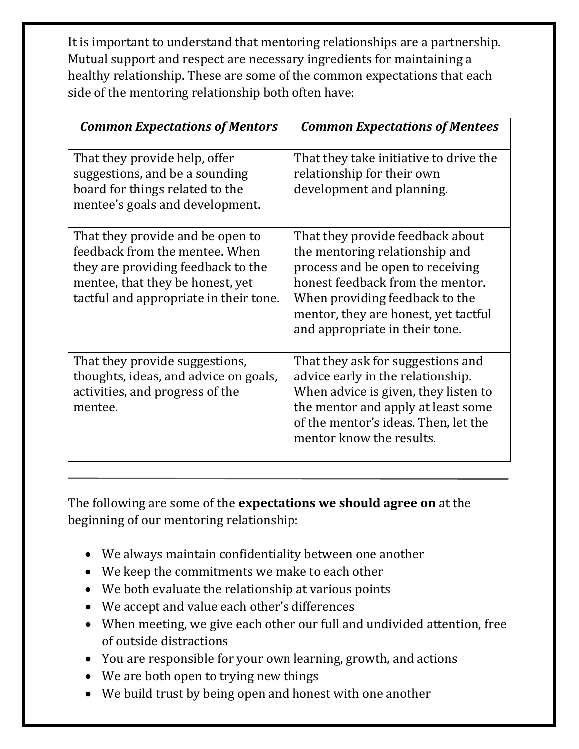It is important to understand that mentoring relationships are a partnership. Mutual support and respect are necessary ingredients for maintaining a healthy relationship. These are some of the common expectations that each side of the mentoring relationship both often have:

| <b>Common Expectations of Mentors</b>                                                                                                                                                  | <b>Common Expectations of Mentees</b>                                                                                                                                                                                                                  |
|----------------------------------------------------------------------------------------------------------------------------------------------------------------------------------------|--------------------------------------------------------------------------------------------------------------------------------------------------------------------------------------------------------------------------------------------------------|
| That they provide help, offer<br>suggestions, and be a sounding<br>board for things related to the<br>mentee's goals and development.                                                  | That they take initiative to drive the<br>relationship for their own<br>development and planning.                                                                                                                                                      |
| That they provide and be open to<br>feedback from the mentee. When<br>they are providing feedback to the<br>mentee, that they be honest, yet<br>tactful and appropriate in their tone. | That they provide feedback about<br>the mentoring relationship and<br>process and be open to receiving<br>honest feedback from the mentor.<br>When providing feedback to the<br>mentor, they are honest, yet tactful<br>and appropriate in their tone. |
| That they provide suggestions,<br>thoughts, ideas, and advice on goals,<br>activities, and progress of the<br>mentee.                                                                  | That they ask for suggestions and<br>advice early in the relationship.<br>When advice is given, they listen to<br>the mentor and apply at least some<br>of the mentor's ideas. Then, let the<br>mentor know the results.                               |

The following are some of the **expectations we should agree on** at the beginning of our mentoring relationship:

- We always maintain confidentiality between one another
- We keep the commitments we make to each other
- We both evaluate the relationship at various points
- We accept and value each other's differences
- When meeting, we give each other our full and undivided attention, free of outside distractions
- You are responsible for your own learning, growth, and actions
- We are both open to trying new things
- We build trust by being open and honest with one another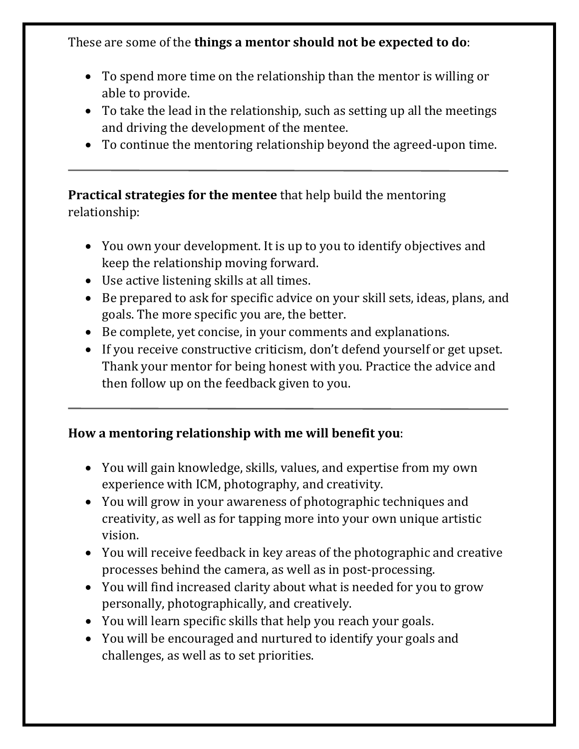These are some of the **things a mentor should not be expected to do**:

- To spend more time on the relationship than the mentor is willing or able to provide.
- To take the lead in the relationship, such as setting up all the meetings and driving the development of the mentee.
- To continue the mentoring relationship beyond the agreed-upon time.

**Practical strategies for the mentee** that help build the mentoring relationship:

- You own your development. It is up to you to identify objectives and keep the relationship moving forward.
- Use active listening skills at all times.
- Be prepared to ask for specific advice on your skill sets, ideas, plans, and goals. The more specific you are, the better.
- Be complete, yet concise, in your comments and explanations.
- If you receive constructive criticism, don't defend yourself or get upset. Thank your mentor for being honest with you. Practice the advice and then follow up on the feedback given to you.

# **How a mentoring relationship with me will benefit you**:

- You will gain knowledge, skills, values, and expertise from my own experience with ICM, photography, and creativity.
- You will grow in your awareness of photographic techniques and creativity, as well as for tapping more into your own unique artistic vision.
- You will receive feedback in key areas of the photographic and creative processes behind the camera, as well as in post-processing.
- You will find increased clarity about what is needed for you to grow personally, photographically, and creatively.
- You will learn specific skills that help you reach your goals.
- You will be encouraged and nurtured to identify your goals and challenges, as well as to set priorities.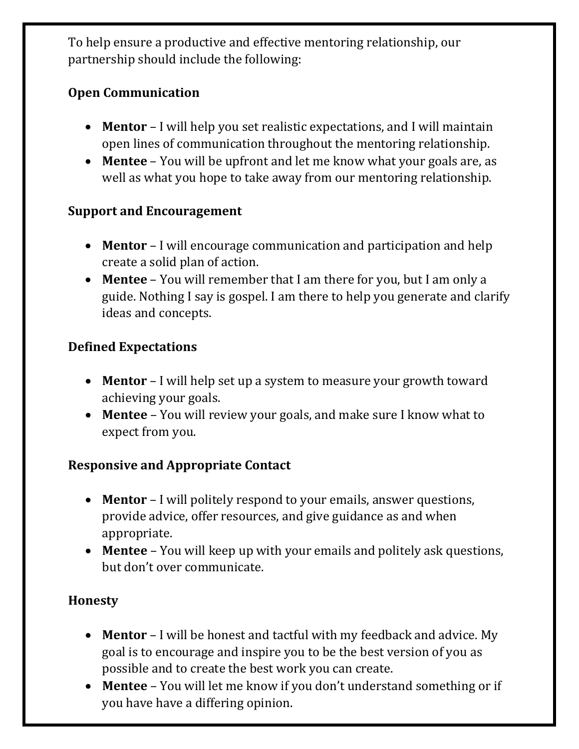To help ensure a productive and effective mentoring relationship, our partnership should include the following:

# **Open Communication**

- **Mentor** I will help you set realistic expectations, and I will maintain open lines of communication throughout the mentoring relationship.
- **Mentee** You will be upfront and let me know what your goals are, as well as what you hope to take away from our mentoring relationship.

# **Support and Encouragement**

- **Mentor** I will encourage communication and participation and help create a solid plan of action.
- **Mentee** You will remember that I am there for you, but I am only a guide. Nothing I say is gospel. I am there to help you generate and clarify ideas and concepts.

# **Defined Expectations**

- **Mentor** I will help set up a system to measure your growth toward achieving your goals.
- **Mentee** You will review your goals, and make sure I know what to expect from you.

#### **Responsive and Appropriate Contact**

- **Mentor** I will politely respond to your emails, answer questions, provide advice, offer resources, and give guidance as and when appropriate.
- **Mentee** You will keep up with your emails and politely ask questions, but don't over communicate.

# **Honesty**

- **Mentor** I will be honest and tactful with my feedback and advice. My goal is to encourage and inspire you to be the best version of you as possible and to create the best work you can create.
- **Mentee** You will let me know if you don't understand something or if you have have a differing opinion.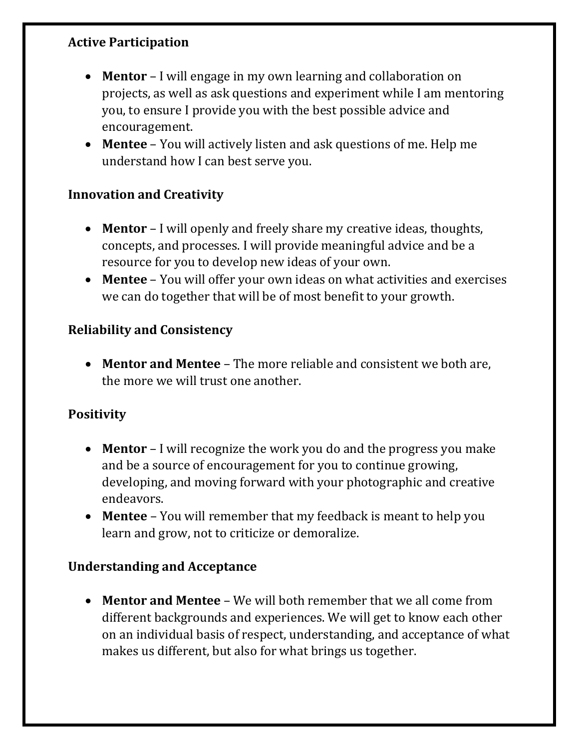#### **Active Participation**

- **Mentor** I will engage in my own learning and collaboration on projects, as well as ask questions and experiment while I am mentoring you, to ensure I provide you with the best possible advice and encouragement.
- **Mentee** You will actively listen and ask questions of me. Help me understand how I can best serve you.

#### **Innovation and Creativity**

- **Mentor** I will openly and freely share my creative ideas, thoughts, concepts, and processes. I will provide meaningful advice and be a resource for you to develop new ideas of your own.
- **Mentee** You will offer your own ideas on what activities and exercises we can do together that will be of most benefit to your growth.

#### **Reliability and Consistency**

• **Mentor and Mentee** – The more reliable and consistent we both are, the more we will trust one another.

#### **Positivity**

- **Mentor** I will recognize the work you do and the progress you make and be a source of encouragement for you to continue growing, developing, and moving forward with your photographic and creative endeavors.
- **Mentee** You will remember that my feedback is meant to help you learn and grow, not to criticize or demoralize.

#### **Understanding and Acceptance**

• **Mentor and Mentee** – We will both remember that we all come from different backgrounds and experiences. We will get to know each other on an individual basis of respect, understanding, and acceptance of what makes us different, but also for what brings us together.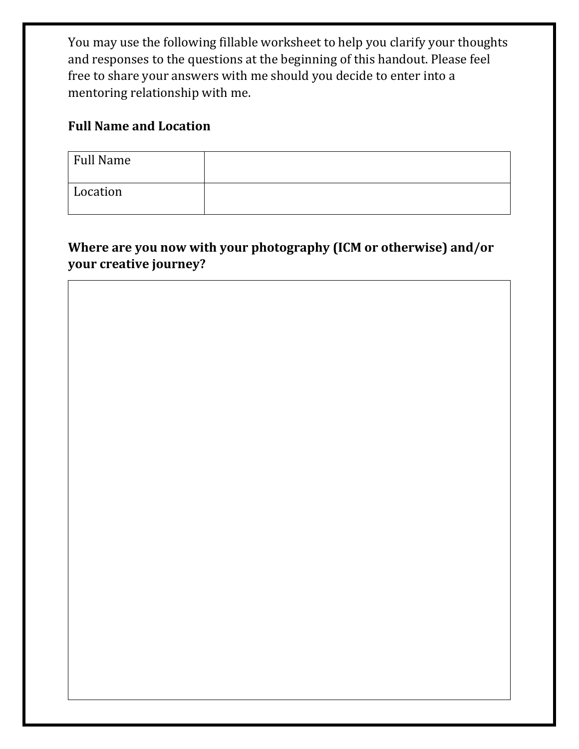You may use the following fillable worksheet to help you clarify your thoughts and responses to the questions at the beginning of this handout. Please feel free to share your answers with me should you decide to enter into a mentoring relationship with me.

#### **Full Name and Location**

| Full Name |  |
|-----------|--|
| Location  |  |

# **Where are you now with your photography (ICM or otherwise) and/or your creative journey?**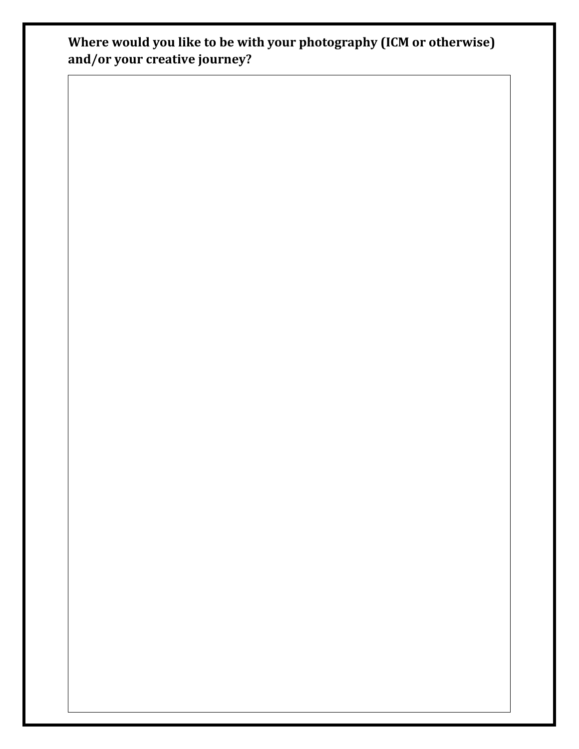**Where would you like to be with your photography (ICM or otherwise) and/or your creative journey?**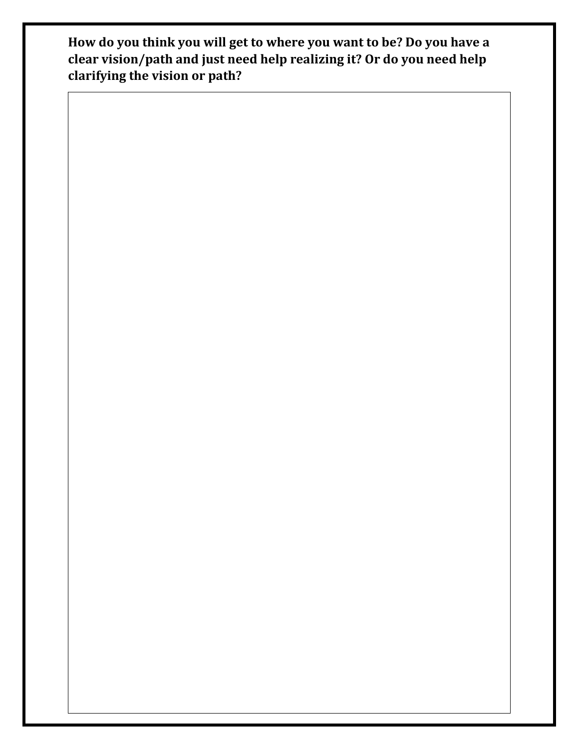**How do you think you will get to where you want to be? Do you have a clear vision/path and just need help realizing it? Or do you need help clarifying the vision or path?**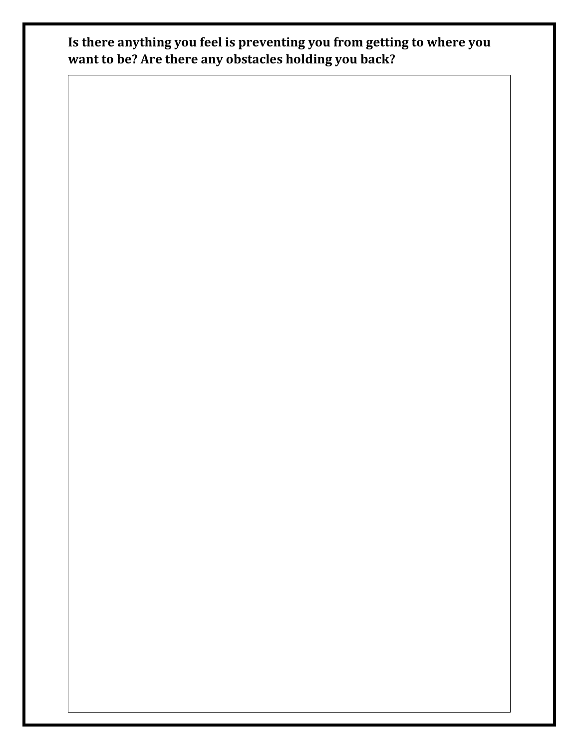**Is there anything you feel is preventing you from getting to where you want to be? Are there any obstacles holding you back?**